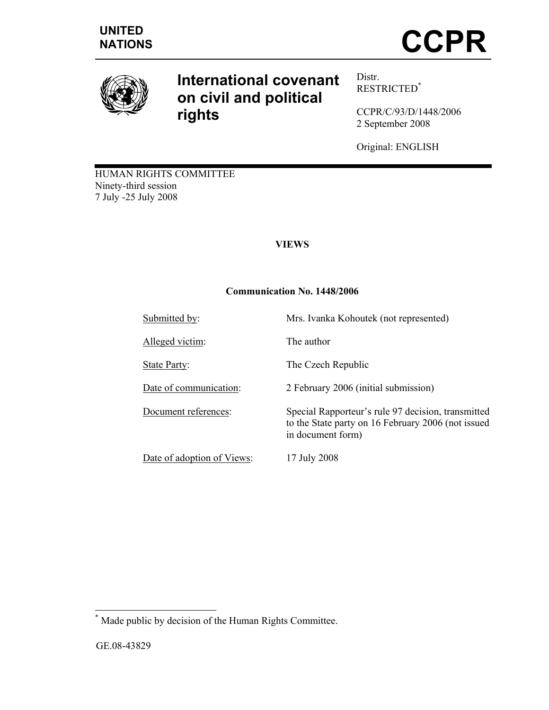

# **International covenant on civil and political rights**

Distr. RESTRICTED\*

CCPR/C/93/D/1448/2006 2 September 2008

Original: ENGLISH

HUMAN RIGHTS COMMITTEE Ninety-third session 7 July -25 July 2008

## **VIEWS**

## **Communication No. 1448/2006**

| Submitted by:              | Mrs. Ivanka Kohoutek (not represented)                                                                                        |
|----------------------------|-------------------------------------------------------------------------------------------------------------------------------|
| Alleged victim:            | The author                                                                                                                    |
| State Party:               | The Czech Republic                                                                                                            |
| Date of communication:     | 2 February 2006 (initial submission)                                                                                          |
| Document references:       | Special Rapporteur's rule 97 decision, transmitted<br>to the State party on 16 February 2006 (not issued<br>in document form) |
| Date of adoption of Views: | 17 July 2008                                                                                                                  |

 \* Made public by decision of the Human Rights Committee.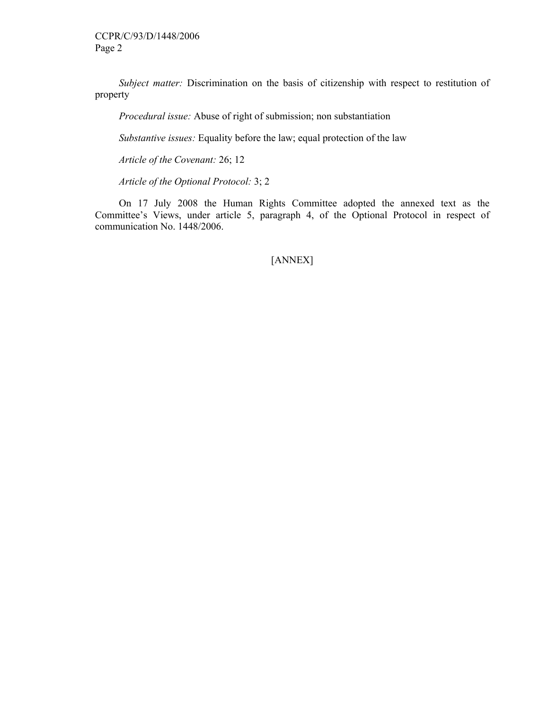*Subject matter:* Discrimination on the basis of citizenship with respect to restitution of property

 *Procedural issue:* Abuse of right of submission; non substantiation

 *Substantive issues:* Equality before the law; equal protection of the law

 *Article of the Covenant:* 26; 12

*Article of the Optional Protocol:* 3; 2

 On 17 July 2008 the Human Rights Committee adopted the annexed text as the Committee's Views, under article 5, paragraph 4, of the Optional Protocol in respect of communication No. 1448/2006.

[ANNEX]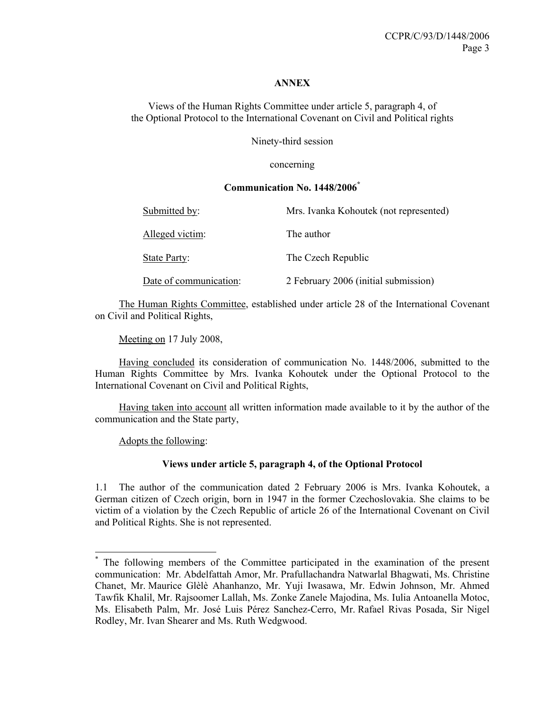#### **ANNEX**

Views of the Human Rights Committee under article 5, paragraph 4, of the Optional Protocol to the International Covenant on Civil and Political rights

Ninety-third session

concerning

### **Communication No. 1448/2006\***

| Submitted by:          | Mrs. Ivanka Kohoutek (not represented) |
|------------------------|----------------------------------------|
| Alleged victim:        | The author                             |
| State Party:           | The Czech Republic                     |
| Date of communication: | 2 February 2006 (initial submission)   |

 The Human Rights Committee, established under article 28 of the International Covenant on Civil and Political Rights,

Meeting on 17 July 2008,

 Having concluded its consideration of communication No. 1448/2006, submitted to the Human Rights Committee by Mrs. Ivanka Kohoutek under the Optional Protocol to the International Covenant on Civil and Political Rights,

 Having taken into account all written information made available to it by the author of the communication and the State party,

Adopts the following:

 $\overline{a}$ 

#### **Views under article 5, paragraph 4, of the Optional Protocol**

1.1 The author of the communication dated 2 February 2006 is Mrs. Ivanka Kohoutek, a German citizen of Czech origin, born in 1947 in the former Czechoslovakia. She claims to be victim of a violation by the Czech Republic of article 26 of the International Covenant on Civil and Political Rights. She is not represented.

<sup>\*</sup> The following members of the Committee participated in the examination of the present communication: Mr. Abdelfattah Amor, Mr. Prafullachandra Natwarlal Bhagwati, Ms. Christine Chanet, Mr. Maurice Glèlè Ahanhanzo, Mr. Yuji Iwasawa, Mr. Edwin Johnson, Mr. Ahmed Tawfik Khalil, Mr. Rajsoomer Lallah, Ms. Zonke Zanele Majodina, Ms. Iulia Antoanella Motoc, Ms. Elisabeth Palm, Mr. José Luis Pérez Sanchez-Cerro, Mr. Rafael Rivas Posada, Sir Nigel Rodley, Mr. Ivan Shearer and Ms. Ruth Wedgwood.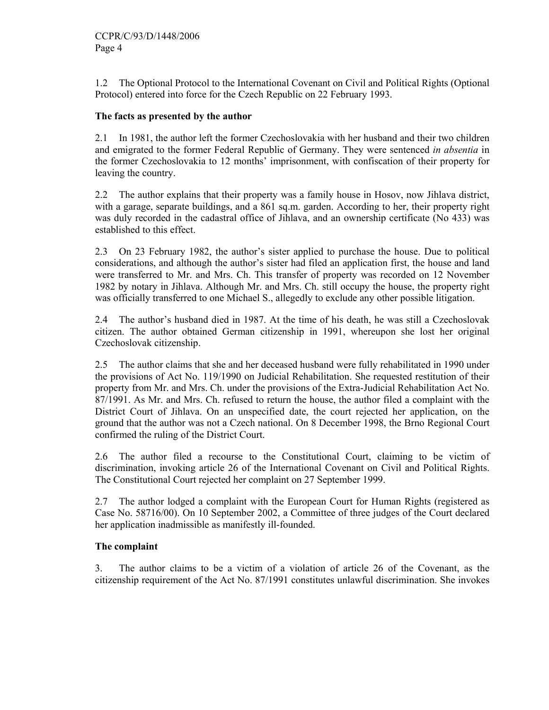1.2 The Optional Protocol to the International Covenant on Civil and Political Rights (Optional Protocol) entered into force for the Czech Republic on 22 February 1993.

## **The facts as presented by the author**

2.1 In 1981, the author left the former Czechoslovakia with her husband and their two children and emigrated to the former Federal Republic of Germany. They were sentenced *in absentia* in the former Czechoslovakia to 12 months' imprisonment, with confiscation of their property for leaving the country.

2.2 The author explains that their property was a family house in Hosov, now Jihlava district, with a garage, separate buildings, and a 861 sq.m. garden. According to her, their property right was duly recorded in the cadastral office of Jihlava, and an ownership certificate (No 433) was established to this effect.

2.3 On 23 February 1982, the author's sister applied to purchase the house. Due to political considerations, and although the author's sister had filed an application first, the house and land were transferred to Mr. and Mrs. Ch. This transfer of property was recorded on 12 November 1982 by notary in Jihlava. Although Mr. and Mrs. Ch. still occupy the house, the property right was officially transferred to one Michael S., allegedly to exclude any other possible litigation.

2.4 The author's husband died in 1987. At the time of his death, he was still a Czechoslovak citizen. The author obtained German citizenship in 1991, whereupon she lost her original Czechoslovak citizenship.

2.5 The author claims that she and her deceased husband were fully rehabilitated in 1990 under the provisions of Act No. 119/1990 on Judicial Rehabilitation. She requested restitution of their property from Mr. and Mrs. Ch. under the provisions of the Extra-Judicial Rehabilitation Act No. 87/1991. As Mr. and Mrs. Ch. refused to return the house, the author filed a complaint with the District Court of Jihlava. On an unspecified date, the court rejected her application, on the ground that the author was not a Czech national. On 8 December 1998, the Brno Regional Court confirmed the ruling of the District Court.

2.6 The author filed a recourse to the Constitutional Court, claiming to be victim of discrimination, invoking article 26 of the International Covenant on Civil and Political Rights. The Constitutional Court rejected her complaint on 27 September 1999.

2.7 The author lodged a complaint with the European Court for Human Rights (registered as Case No. 58716/00). On 10 September 2002, a Committee of three judges of the Court declared her application inadmissible as manifestly ill-founded.

## **The complaint**

3. The author claims to be a victim of a violation of article 26 of the Covenant, as the citizenship requirement of the Act No. 87/1991 constitutes unlawful discrimination. She invokes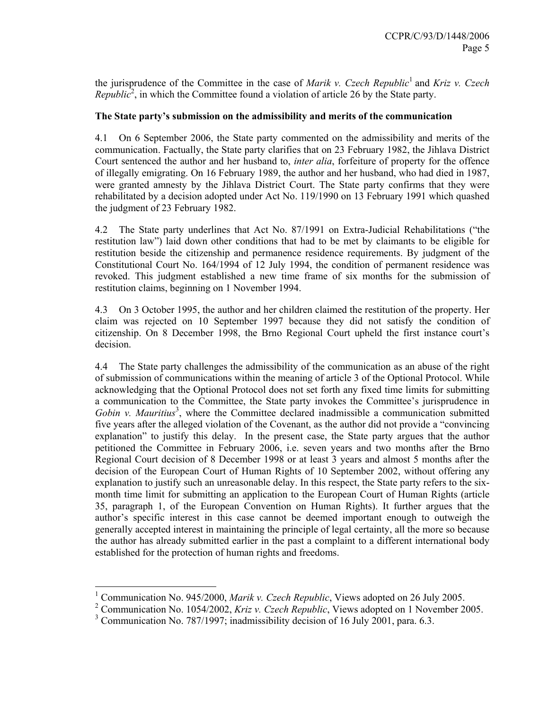the jurisprudence of the Committee in the case of *Marik v. Czech Republic*<sup>1</sup> and *Kriz v. Czech Republic*<sup>2</sup>, in which the Committee found a violation of article 26 by the State party.

## **The State party's submission on the admissibility and merits of the communication**

4.1 On 6 September 2006, the State party commented on the admissibility and merits of the communication. Factually, the State party clarifies that on 23 February 1982, the Jihlava District Court sentenced the author and her husband to, *inter alia*, forfeiture of property for the offence of illegally emigrating. On 16 February 1989, the author and her husband, who had died in 1987, were granted amnesty by the Jihlava District Court. The State party confirms that they were rehabilitated by a decision adopted under Act No. 119/1990 on 13 February 1991 which quashed the judgment of 23 February 1982.

4.2 The State party underlines that Act No. 87/1991 on Extra-Judicial Rehabilitations ("the restitution law") laid down other conditions that had to be met by claimants to be eligible for restitution beside the citizenship and permanence residence requirements. By judgment of the Constitutional Court No. 164/1994 of 12 July 1994, the condition of permanent residence was revoked. This judgment established a new time frame of six months for the submission of restitution claims, beginning on 1 November 1994.

4.3 On 3 October 1995, the author and her children claimed the restitution of the property. Her claim was rejected on 10 September 1997 because they did not satisfy the condition of citizenship. On 8 December 1998, the Brno Regional Court upheld the first instance court's decision.

4.4 The State party challenges the admissibility of the communication as an abuse of the right of submission of communications within the meaning of article 3 of the Optional Protocol. While acknowledging that the Optional Protocol does not set forth any fixed time limits for submitting a communication to the Committee, the State party invokes the Committee's jurisprudence in Gobin v. Mauritius<sup>3</sup>, where the Committee declared inadmissible a communication submitted five years after the alleged violation of the Covenant, as the author did not provide a "convincing explanation" to justify this delay. In the present case, the State party argues that the author petitioned the Committee in February 2006, i.e. seven years and two months after the Brno Regional Court decision of 8 December 1998 or at least 3 years and almost 5 months after the decision of the European Court of Human Rights of 10 September 2002, without offering any explanation to justify such an unreasonable delay. In this respect, the State party refers to the sixmonth time limit for submitting an application to the European Court of Human Rights (article 35, paragraph 1, of the European Convention on Human Rights). It further argues that the author's specific interest in this case cannot be deemed important enough to outweigh the generally accepted interest in maintaining the principle of legal certainty, all the more so because the author has already submitted earlier in the past a complaint to a different international body established for the protection of human rights and freedoms.

 $\overline{a}$ 

<sup>&</sup>lt;sup>1</sup> Communication No. 945/2000, *Marik v. Czech Republic*, Views adopted on 26 July 2005.

<sup>2</sup> Communication No. 1054/2002, *Kriz v. Czech Republic*, Views adopted on 1 November 2005.

<sup>&</sup>lt;sup>3</sup> Communication No. 787/1997; inadmissibility decision of 16 July 2001, para. 6.3.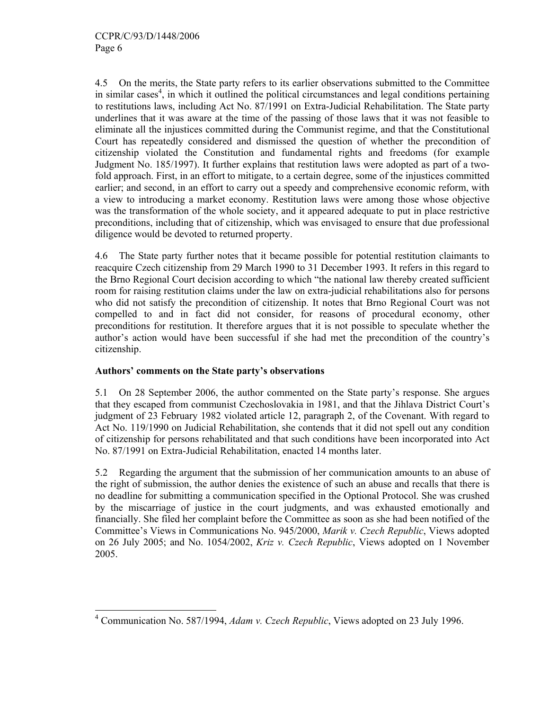4.5 On the merits, the State party refers to its earlier observations submitted to the Committee in similar cases<sup>4</sup>, in which it outlined the political circumstances and legal conditions pertaining to restitutions laws, including Act No. 87/1991 on Extra-Judicial Rehabilitation. The State party underlines that it was aware at the time of the passing of those laws that it was not feasible to eliminate all the injustices committed during the Communist regime, and that the Constitutional Court has repeatedly considered and dismissed the question of whether the precondition of citizenship violated the Constitution and fundamental rights and freedoms (for example Judgment No. 185/1997). It further explains that restitution laws were adopted as part of a twofold approach. First, in an effort to mitigate, to a certain degree, some of the injustices committed earlier; and second, in an effort to carry out a speedy and comprehensive economic reform, with a view to introducing a market economy. Restitution laws were among those whose objective was the transformation of the whole society, and it appeared adequate to put in place restrictive preconditions, including that of citizenship, which was envisaged to ensure that due professional diligence would be devoted to returned property.

4.6 The State party further notes that it became possible for potential restitution claimants to reacquire Czech citizenship from 29 March 1990 to 31 December 1993. It refers in this regard to the Brno Regional Court decision according to which "the national law thereby created sufficient room for raising restitution claims under the law on extra-judicial rehabilitations also for persons who did not satisfy the precondition of citizenship. It notes that Brno Regional Court was not compelled to and in fact did not consider, for reasons of procedural economy, other preconditions for restitution. It therefore argues that it is not possible to speculate whether the author's action would have been successful if she had met the precondition of the country's citizenship.

## **Authors' comments on the State party's observations**

5.1 On 28 September 2006, the author commented on the State party's response. She argues that they escaped from communist Czechoslovakia in 1981, and that the Jihlava District Court's judgment of 23 February 1982 violated article 12, paragraph 2, of the Covenant. With regard to Act No. 119/1990 on Judicial Rehabilitation, she contends that it did not spell out any condition of citizenship for persons rehabilitated and that such conditions have been incorporated into Act No. 87/1991 on Extra-Judicial Rehabilitation, enacted 14 months later.

5.2 Regarding the argument that the submission of her communication amounts to an abuse of the right of submission, the author denies the existence of such an abuse and recalls that there is no deadline for submitting a communication specified in the Optional Protocol. She was crushed by the miscarriage of justice in the court judgments, and was exhausted emotionally and financially. She filed her complaint before the Committee as soon as she had been notified of the Committee's Views in Communications No. 945/2000, *Marik v. Czech Republic*, Views adopted on 26 July 2005; and No. 1054/2002, *Kriz v. Czech Republic*, Views adopted on 1 November 2005.

 4 Communication No. 587/1994, *Adam v. Czech Republic*, Views adopted on 23 July 1996.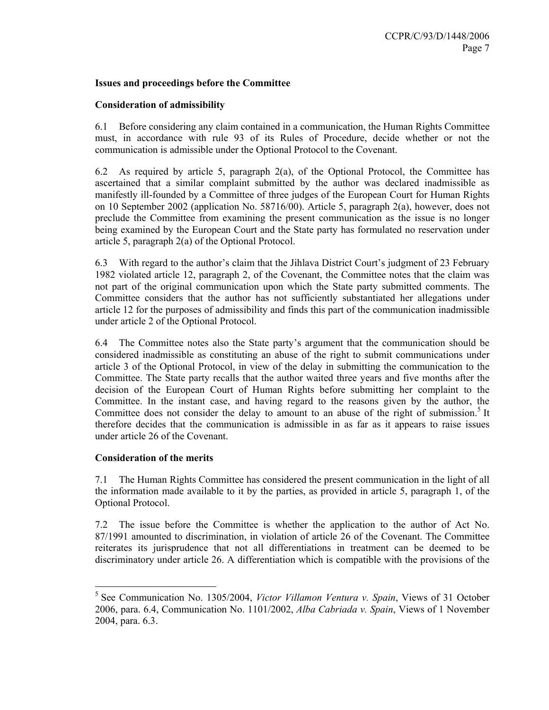#### **Issues and proceedings before the Committee**

### **Consideration of admissibility**

6.1 Before considering any claim contained in a communication, the Human Rights Committee must, in accordance with rule 93 of its Rules of Procedure, decide whether or not the communication is admissible under the Optional Protocol to the Covenant.

6.2 As required by article 5, paragraph 2(a), of the Optional Protocol, the Committee has ascertained that a similar complaint submitted by the author was declared inadmissible as manifestly ill-founded by a Committee of three judges of the European Court for Human Rights on 10 September 2002 (application No. 58716/00). Article 5, paragraph 2(a), however, does not preclude the Committee from examining the present communication as the issue is no longer being examined by the European Court and the State party has formulated no reservation under article 5, paragraph 2(a) of the Optional Protocol.

6.3 With regard to the author's claim that the Jihlava District Court's judgment of 23 February 1982 violated article 12, paragraph 2, of the Covenant, the Committee notes that the claim was not part of the original communication upon which the State party submitted comments. The Committee considers that the author has not sufficiently substantiated her allegations under article 12 for the purposes of admissibility and finds this part of the communication inadmissible under article 2 of the Optional Protocol.

6.4 The Committee notes also the State party's argument that the communication should be considered inadmissible as constituting an abuse of the right to submit communications under article 3 of the Optional Protocol, in view of the delay in submitting the communication to the Committee. The State party recalls that the author waited three years and five months after the decision of the European Court of Human Rights before submitting her complaint to the Committee. In the instant case, and having regard to the reasons given by the author, the Committee does not consider the delay to amount to an abuse of the right of submission.<sup>5</sup> It therefore decides that the communication is admissible in as far as it appears to raise issues under article 26 of the Covenant.

#### **Consideration of the merits**

 $\overline{a}$ 

7.1 The Human Rights Committee has considered the present communication in the light of all the information made available to it by the parties, as provided in article 5, paragraph 1, of the Optional Protocol.

7.2 The issue before the Committee is whether the application to the author of Act No. 87/1991 amounted to discrimination, in violation of article 26 of the Covenant. The Committee reiterates its jurisprudence that not all differentiations in treatment can be deemed to be discriminatory under article 26. A differentiation which is compatible with the provisions of the

<sup>5</sup> See Communication No. 1305/2004, *Victor Villamon Ventura v. Spain*, Views of 31 October 2006, para. 6.4, Communication No. 1101/2002, *Alba Cabriada v. Spain*, Views of 1 November 2004, para. 6.3.